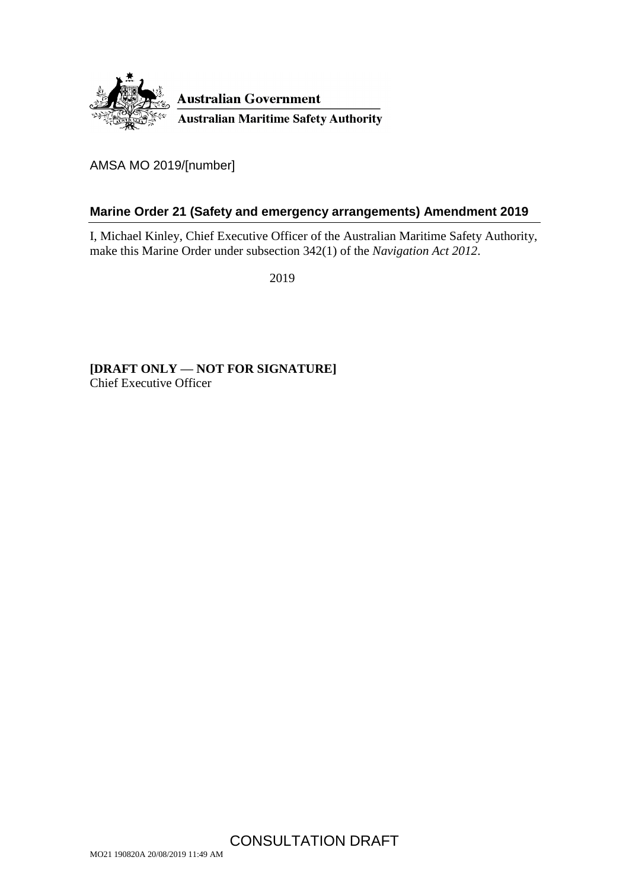

AMSA MO 2019/[number]

### <span id="page-0-0"></span>**Marine Order 21 (Safety and emergency arrangements) Amendment 2019**

I, Michael Kinley, Chief Executive Officer of the Australian Maritime Safety Authority, make this Marine Order under subsection 342(1) of the *Navigation Act 2012*.

2019

**[DRAFT ONLY — NOT FOR SIGNATURE]** Chief Executive Officer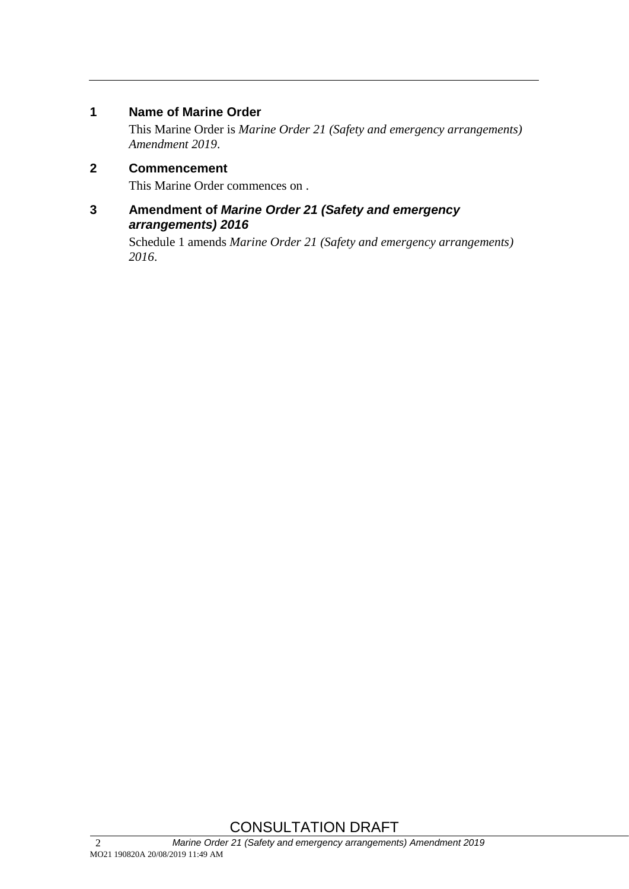#### **1 Name of Marine Order**

This Marine Order is *Marine Order 21 (Safety and emergency arrangements) Amendment 2019*.

#### **2 Commencement**

This Marine Order commences on .

#### **3 Amendment of** *Marine Order 21 (Safety and emergency arrangements) 2016*

Schedule 1 amends *Marine Order 21 (Safety and emergency arrangements) 2016*.

# CONSULTATION DRAFT